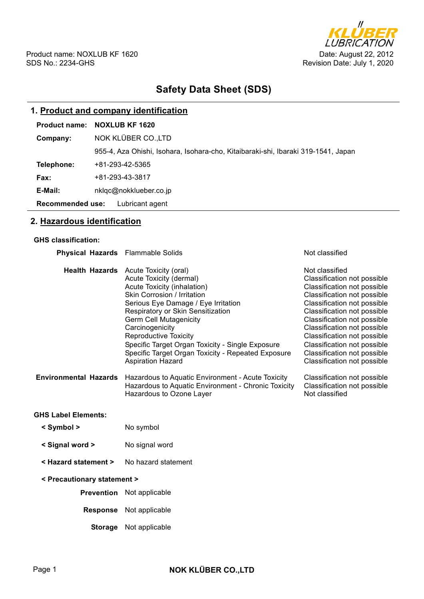

# **Safety Data Sheet (SDS)**

# **1. Product and company identification**

| 1. Product and company identification |                                                                                   |  |  |  |
|---------------------------------------|-----------------------------------------------------------------------------------|--|--|--|
| <b>Product name:</b>                  | <b>NOXLUB KF 1620</b>                                                             |  |  |  |
| Company:                              | NOK KLÜBER CO.,LTD                                                                |  |  |  |
|                                       | 955-4, Aza Ohishi, Isohara, Isohara-cho, Kitaibaraki-shi, Ibaraki 319-1541, Japan |  |  |  |
| Telephone:                            | +81-293-42-5365                                                                   |  |  |  |
| Fax:                                  | +81-293-43-3817                                                                   |  |  |  |
| E-Mail:                               | nklgc@nokklueber.co.jp                                                            |  |  |  |
| <b>Recommended use:</b>               | Lubricant agent                                                                   |  |  |  |

# **2. Hazardous identification**

#### **GHS classification:**

| <b>Physical Hazards</b> Flammable Solids |                                                                                                                                                                                                                                                                                                                                                                                                                                                                                                 | Not classified                                                                                                                                                                                                                                                                                                                                                                                     |  |  |
|------------------------------------------|-------------------------------------------------------------------------------------------------------------------------------------------------------------------------------------------------------------------------------------------------------------------------------------------------------------------------------------------------------------------------------------------------------------------------------------------------------------------------------------------------|----------------------------------------------------------------------------------------------------------------------------------------------------------------------------------------------------------------------------------------------------------------------------------------------------------------------------------------------------------------------------------------------------|--|--|
| <b>Environmental Hazards</b>             | Health Hazards Acute Toxicity (oral)<br>Acute Toxicity (dermal)<br>Acute Toxicity (inhalation)<br><b>Skin Corrosion / Irritation</b><br>Serious Eye Damage / Eye Irritation<br>Respiratory or Skin Sensitization<br><b>Germ Cell Mutagenicity</b><br>Carcinogenicity<br><b>Reproductive Toxicity</b><br>Specific Target Organ Toxicity - Single Exposure<br>Specific Target Organ Toxicity - Repeated Exposure<br><b>Aspiration Hazard</b><br>Hazardous to Aquatic Environment - Acute Toxicity | Not classified<br>Classification not possible<br>Classification not possible<br>Classification not possible<br>Classification not possible<br>Classification not possible<br>Classification not possible<br>Classification not possible<br>Classification not possible<br>Classification not possible<br>Classification not possible<br>Classification not possible<br>Classification not possible |  |  |
|                                          | Hazardous to Aquatic Environment - Chronic Toxicity<br>Hazardous to Ozone Layer                                                                                                                                                                                                                                                                                                                                                                                                                 | Classification not possible<br>Not classified                                                                                                                                                                                                                                                                                                                                                      |  |  |
| <b>GHS Label Elements:</b>               |                                                                                                                                                                                                                                                                                                                                                                                                                                                                                                 |                                                                                                                                                                                                                                                                                                                                                                                                    |  |  |
| < Symbol >                               | No symbol                                                                                                                                                                                                                                                                                                                                                                                                                                                                                       |                                                                                                                                                                                                                                                                                                                                                                                                    |  |  |
| < Signal word >                          | No signal word                                                                                                                                                                                                                                                                                                                                                                                                                                                                                  |                                                                                                                                                                                                                                                                                                                                                                                                    |  |  |
| < Hazard statement >                     | No hazard statement                                                                                                                                                                                                                                                                                                                                                                                                                                                                             |                                                                                                                                                                                                                                                                                                                                                                                                    |  |  |
| < Precautionary statement >              |                                                                                                                                                                                                                                                                                                                                                                                                                                                                                                 |                                                                                                                                                                                                                                                                                                                                                                                                    |  |  |
|                                          | <b>Prevention</b> Not applicable                                                                                                                                                                                                                                                                                                                                                                                                                                                                |                                                                                                                                                                                                                                                                                                                                                                                                    |  |  |
| <b>Response</b>                          | Not applicable                                                                                                                                                                                                                                                                                                                                                                                                                                                                                  |                                                                                                                                                                                                                                                                                                                                                                                                    |  |  |
| <b>Storage</b>                           | Not applicable                                                                                                                                                                                                                                                                                                                                                                                                                                                                                  |                                                                                                                                                                                                                                                                                                                                                                                                    |  |  |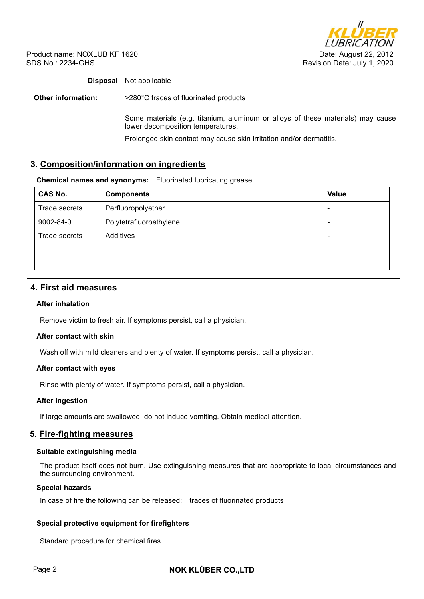

## **Disposal** Not applicable

**Other information:**  $>280^{\circ}$ C traces of fluorinated products

Some materials (e.g. titanium, aluminum or alloys of these materials) may cause lower decomposition temperatures.

Prolonged skin contact may cause skin irritation and/or dermatitis.

# **3. Composition/information on ingredients**

#### **Chemical names and synonyms:** Fluorinated lubricating grease

| <b>CAS No.</b> | <b>Components</b>       | <b>Value</b>             |
|----------------|-------------------------|--------------------------|
| Trade secrets  | Perfluoropolyether      | $\overline{\phantom{0}}$ |
| 9002-84-0      | Polytetrafluoroethylene | $\overline{\phantom{0}}$ |
| Trade secrets  | Additives               | $\overline{\phantom{0}}$ |
|                |                         |                          |
|                |                         |                          |

# **4. First aid measures**

### **After inhalation**

Remove victim to fresh air. If symptoms persist, call a physician.

### **After contact with skin**

Wash off with mild cleaners and plenty of water. If symptoms persist, call a physician.

#### **After contact with eyes**

Rinse with plenty of water. If symptoms persist, call a physician.

#### **After ingestion**

If large amounts are swallowed, do not induce vomiting. Obtain medical attention.

### **5. Fire-fighting measures**

#### **Suitable extinguishing media**

The product itself does not burn. Use extinguishing measures that are appropriate to local circumstances and the surrounding environment.

#### **Special hazards**

In case of fire the following can be released: traces of fluorinated products

### **Special protective equipment for firefighters**

Standard procedure for chemical fires.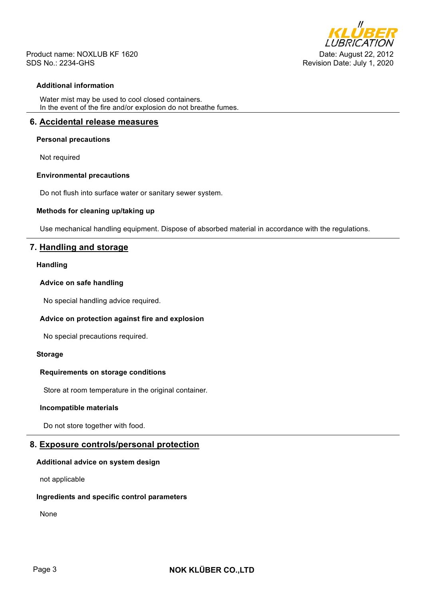

### **Additional information**

Water mist may be used to cool closed containers. In the event of the fire and/or explosion do not breathe fumes.

## **6. Accidental release measures**

#### **Personal precautions**

Not required

#### **Environmental precautions**

Do not flush into surface water or sanitary sewer system.

#### **Methods for cleaning up/taking up**

Use mechanical handling equipment. Dispose of absorbed material in accordance with the regulations.

# **7. Handling and storage**

#### **Handling**

#### **Advice on safe handling**

No special handling advice required.

### **Advice on protection against fire and explosion**

No special precautions required.

#### **Storage**

#### **Requirements on storage conditions**

Store at room temperature in the original container.

### **Incompatible materials**

Do not store together with food.

# **8. Exposure controls/personal protection**

#### **Additional advice on system design**

not applicable

#### **Ingredients and specific control parameters**

None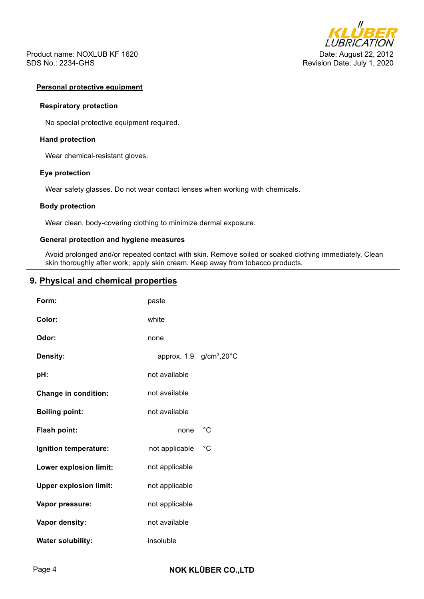

#### **Personal protective equipment**

#### **Respiratory protection**

No special protective equipment required.

#### **Hand protection**

Wear chemical-resistant gloves.

#### **Eye protection**

Wear safety glasses. Do not wear contact lenses when working with chemicals.

### **Body protection**

Wear clean, body-covering clothing to minimize dermal exposure.

### **General protection and hygiene measures**

Avoid prolonged and/or repeated contact with skin. Remove soiled or soaked clothing immediately. Clean skin thoroughly after work; apply skin cream. Keep away from tobacco products.

# **9. Physical and chemical properties**

| Form:                         | paste          |                                                  |
|-------------------------------|----------------|--------------------------------------------------|
| Color:                        | white          |                                                  |
| Odor:                         | none           |                                                  |
| <b>Density:</b>               |                | approx. $1.9$ g/cm <sup>3</sup> ,20 $^{\circ}$ C |
| pH:                           | not available  |                                                  |
| <b>Change in condition:</b>   | not available  |                                                  |
| <b>Boiling point:</b>         | not available  |                                                  |
| Flash point:                  | none           | $^{\circ}C$                                      |
| Ignition temperature:         | not applicable | $^{\circ}$ C                                     |
| Lower explosion limit:        | not applicable |                                                  |
| <b>Upper explosion limit:</b> | not applicable |                                                  |
| Vapor pressure:               | not applicable |                                                  |
| Vapor density:                | not available  |                                                  |
| <b>Water solubility:</b>      | insoluble      |                                                  |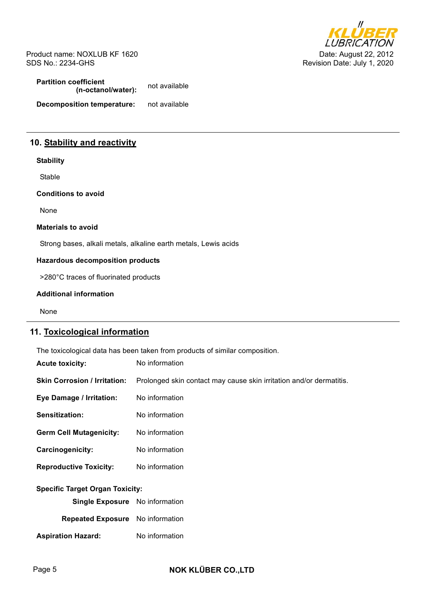

**Partition coefficient (n-octanol/water):** not available **Decomposition temperature:** not available

# **10. Stability and reactivity**

### **Stability**

Stable

**Conditions to avoid** 

None

#### **Materials to avoid**

Strong bases, alkali metals, alkaline earth metals, Lewis acids

### **Hazardous decomposition products**

>280°C traces of fluorinated products

#### **Additional information**

None

# **11. Toxicological information**

The toxicological data has been taken from products of similar composition.

| <b>Acute toxicity:</b>                 | No information                                                      |  |  |  |
|----------------------------------------|---------------------------------------------------------------------|--|--|--|
| <b>Skin Corrosion / Irritation:</b>    | Prolonged skin contact may cause skin irritation and/or dermatitis. |  |  |  |
| Eye Damage / Irritation:               | No information                                                      |  |  |  |
| <b>Sensitization:</b>                  | No information                                                      |  |  |  |
| <b>Germ Cell Mutagenicity:</b>         | No information                                                      |  |  |  |
| <b>Carcinogenicity:</b>                | No information                                                      |  |  |  |
| <b>Reproductive Toxicity:</b>          | No information                                                      |  |  |  |
| <b>Specific Target Organ Toxicity:</b> |                                                                     |  |  |  |
| Single Exposure No information         |                                                                     |  |  |  |
| Repeated Exposure No information       |                                                                     |  |  |  |
| <b>Aspiration Hazard:</b>              | No information                                                      |  |  |  |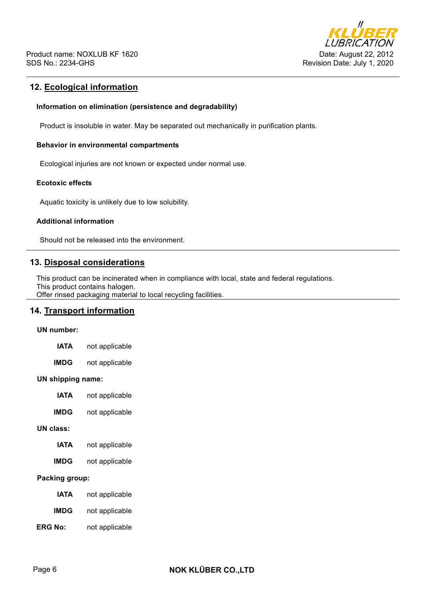

# **12. Ecological information**

#### **Information on elimination (persistence and degradability)**

Product is insoluble in water. May be separated out mechanically in purification plants.

### **Behavior in environmental compartments**

Ecological injuries are not known or expected under normal use.

# **Ecotoxic effects**

Aquatic toxicity is unlikely due to low solubility.

#### **Additional information**

Should not be released into the environment.

# **13. Disposal considerations**

This product can be incinerated when in compliance with local, state and federal regulations. This product contains halogen.

Offer rinsed packaging material to local recycling facilities.

# **14. Transport information**

#### **UN number:**

| not applicable<br><b>IATA</b> |  |
|-------------------------------|--|
|-------------------------------|--|

**IMDG** not applicable

#### **UN shipping name:**

- **IATA** not applicable
- **IMDG** not applicable

#### **UN class:**

- **IATA** not applicable
- **IMDG** not applicable

## **Packing group:**

- **IATA** not applicable
- **IMDG** not applicable
- **ERG No:** not applicable